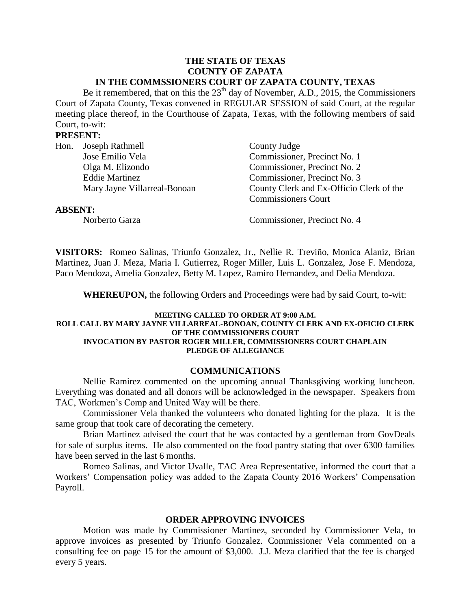#### **THE STATE OF TEXAS COUNTY OF ZAPATA IN THE COMMSSIONERS COURT OF ZAPATA COUNTY, TEXAS**

Be it remembered, that on this the  $23<sup>th</sup>$  day of November, A.D., 2015, the Commissioners Court of Zapata County, Texas convened in REGULAR SESSION of said Court, at the regular meeting place thereof, in the Courthouse of Zapata, Texas, with the following members of said Court, to-wit:

## **PRESENT:**

|  | Hon. Joseph Rathmell         | County Judge                             |
|--|------------------------------|------------------------------------------|
|  | Jose Emilio Vela             | Commissioner, Precinct No. 1             |
|  | Olga M. Elizondo             | Commissioner, Precinct No. 2             |
|  | <b>Eddie Martinez</b>        | Commissioner, Precinct No. 3             |
|  | Mary Jayne Villarreal-Bonoan | County Clerk and Ex-Officio Clerk of the |
|  |                              | <b>Commissioners Court</b>               |
|  |                              |                                          |

#### **ABSENT:**

Norberto Garza Commissioner, Precinct No. 4

**VISITORS:** Romeo Salinas, Triunfo Gonzalez, Jr., Nellie R. Treviño, Monica Alaniz, Brian Martinez, Juan J. Meza, Maria I. Gutierrez, Roger Miller, Luis L. Gonzalez, Jose F. Mendoza, Paco Mendoza, Amelia Gonzalez, Betty M. Lopez, Ramiro Hernandez, and Delia Mendoza.

**WHEREUPON,** the following Orders and Proceedings were had by said Court, to-wit:

#### **MEETING CALLED TO ORDER AT 9:00 A.M. ROLL CALL BY MARY JAYNE VILLARREAL-BONOAN, COUNTY CLERK AND EX-OFICIO CLERK OF THE COMMISSIONERS COURT INVOCATION BY PASTOR ROGER MILLER, COMMISSIONERS COURT CHAPLAIN PLEDGE OF ALLEGIANCE**

## **COMMUNICATIONS**

Nellie Ramirez commented on the upcoming annual Thanksgiving working luncheon. Everything was donated and all donors will be acknowledged in the newspaper. Speakers from TAC, Workmen's Comp and United Way will be there.

Commissioner Vela thanked the volunteers who donated lighting for the plaza. It is the same group that took care of decorating the cemetery.

Brian Martinez advised the court that he was contacted by a gentleman from GovDeals for sale of surplus items. He also commented on the food pantry stating that over 6300 families have been served in the last 6 months.

Romeo Salinas, and Victor Uvalle, TAC Area Representative, informed the court that a Workers' Compensation policy was added to the Zapata County 2016 Workers' Compensation Payroll.

## **ORDER APPROVING INVOICES**

Motion was made by Commissioner Martinez, seconded by Commissioner Vela, to approve invoices as presented by Triunfo Gonzalez. Commissioner Vela commented on a consulting fee on page 15 for the amount of \$3,000. J.J. Meza clarified that the fee is charged every 5 years.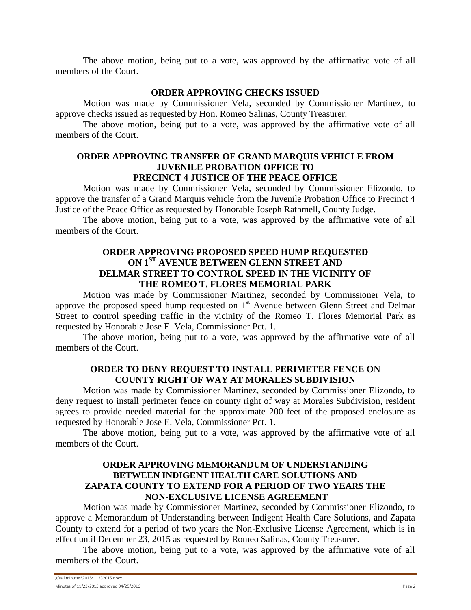The above motion, being put to a vote, was approved by the affirmative vote of all members of the Court.

# **ORDER APPROVING CHECKS ISSUED**

Motion was made by Commissioner Vela, seconded by Commissioner Martinez, to approve checks issued as requested by Hon. Romeo Salinas, County Treasurer.

The above motion, being put to a vote, was approved by the affirmative vote of all members of the Court.

### **ORDER APPROVING TRANSFER OF GRAND MARQUIS VEHICLE FROM JUVENILE PROBATION OFFICE TO PRECINCT 4 JUSTICE OF THE PEACE OFFICE**

Motion was made by Commissioner Vela, seconded by Commissioner Elizondo, to approve the transfer of a Grand Marquis vehicle from the Juvenile Probation Office to Precinct 4 Justice of the Peace Office as requested by Honorable Joseph Rathmell, County Judge.

The above motion, being put to a vote, was approved by the affirmative vote of all members of the Court.

## **ORDER APPROVING PROPOSED SPEED HUMP REQUESTED ON 1ST AVENUE BETWEEN GLENN STREET AND DELMAR STREET TO CONTROL SPEED IN THE VICINITY OF THE ROMEO T. FLORES MEMORIAL PARK**

Motion was made by Commissioner Martinez, seconded by Commissioner Vela, to approve the proposed speed hump requested on 1<sup>st</sup> Avenue between Glenn Street and Delmar Street to control speeding traffic in the vicinity of the Romeo T. Flores Memorial Park as requested by Honorable Jose E. Vela, Commissioner Pct. 1.

The above motion, being put to a vote, was approved by the affirmative vote of all members of the Court.

# **ORDER TO DENY REQUEST TO INSTALL PERIMETER FENCE ON COUNTY RIGHT OF WAY AT MORALES SUBDIVISION**

Motion was made by Commissioner Martinez, seconded by Commissioner Elizondo, to deny request to install perimeter fence on county right of way at Morales Subdivision, resident agrees to provide needed material for the approximate 200 feet of the proposed enclosure as requested by Honorable Jose E. Vela, Commissioner Pct. 1.

The above motion, being put to a vote, was approved by the affirmative vote of all members of the Court.

# **ORDER APPROVING MEMORANDUM OF UNDERSTANDING BETWEEN INDIGENT HEALTH CARE SOLUTIONS AND ZAPATA COUNTY TO EXTEND FOR A PERIOD OF TWO YEARS THE NON-EXCLUSIVE LICENSE AGREEMENT**

Motion was made by Commissioner Martinez, seconded by Commissioner Elizondo, to approve a Memorandum of Understanding between Indigent Health Care Solutions, and Zapata County to extend for a period of two years the Non-Exclusive License Agreement, which is in effect until December 23, 2015 as requested by Romeo Salinas, County Treasurer.

The above motion, being put to a vote, was approved by the affirmative vote of all members of the Court.